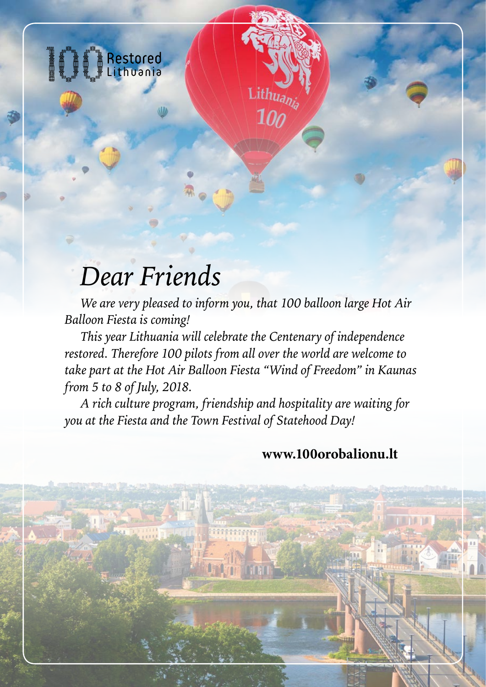

## *Dear Friends*

*We are very pleased to inform you, that 100 balloon large Hot Air Balloon Fiesta is coming!*

ithuanis

 $10<sub>0</sub>$ 

*This year Lithuania will celebrate the Centenary of independence restored. Therefore 100 pilots from all over the world are welcome to take part at the Hot Air Balloon Fiesta "Wind of Freedom" in Kaunas from 5 to 8 of July, 2018.*

*A rich culture program, friendship and hospitality are waiting for you at the Fiesta and the Town Festival of Statehood Day!*

## **[www.100orobalionu.lt](http://www.100orobalionu.lt)**